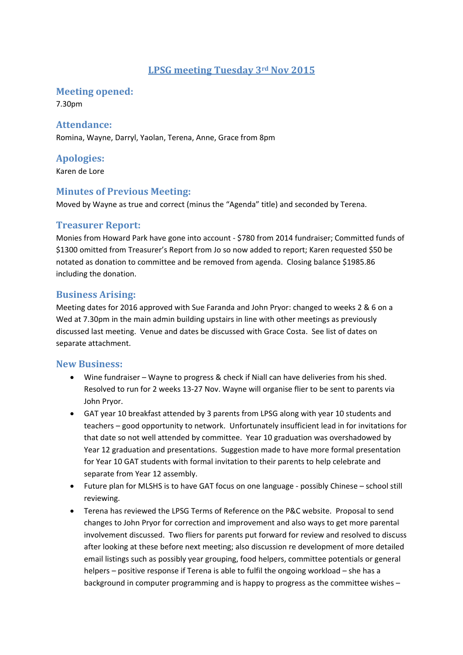# **LPSG meeting Tuesday 3rd Nov 2015**

#### **Meeting opened:**

7.30pm

#### Attendance:

Romina, Wayne, Darryl, Yaolan, Terena, Anne, Grace from 8pm

# **Apologies:**

Karen de Lore

#### **Minutes of Previous Meeting:**

Moved by Wayne as true and correct (minus the "Agenda" title) and seconded by Terena.

#### **Treasurer Report:**

Monies from Howard Park have gone into account ‐ \$780 from 2014 fundraiser; Committed funds of \$1300 omitted from Treasurer's Report from Jo so now added to report; Karen requested \$50 be notated as donation to committee and be removed from agenda. Closing balance \$1985.86 including the donation.

#### **Business Arising:**

Meeting dates for 2016 approved with Sue Faranda and John Pryor: changed to weeks 2 & 6 on a Wed at 7.30pm in the main admin building upstairs in line with other meetings as previously discussed last meeting. Venue and dates be discussed with Grace Costa. See list of dates on separate attachment.

#### **New Business:**

- Wine fundraiser Wayne to progress & check if Niall can have deliveries from his shed. Resolved to run for 2 weeks 13‐27 Nov. Wayne will organise flier to be sent to parents via John Pryor.
- GAT year 10 breakfast attended by 3 parents from LPSG along with year 10 students and teachers – good opportunity to network. Unfortunately insufficient lead in for invitations for that date so not well attended by committee. Year 10 graduation was overshadowed by Year 12 graduation and presentations. Suggestion made to have more formal presentation for Year 10 GAT students with formal invitation to their parents to help celebrate and separate from Year 12 assembly.
- Future plan for MLSHS is to have GAT focus on one language ‐ possibly Chinese school still reviewing.
- Terena has reviewed the LPSG Terms of Reference on the P&C website. Proposal to send changes to John Pryor for correction and improvement and also ways to get more parental involvement discussed. Two fliers for parents put forward for review and resolved to discuss after looking at these before next meeting; also discussion re development of more detailed email listings such as possibly year grouping, food helpers, committee potentials or general helpers – positive response if Terena is able to fulfil the ongoing workload – she has a background in computer programming and is happy to progress as the committee wishes –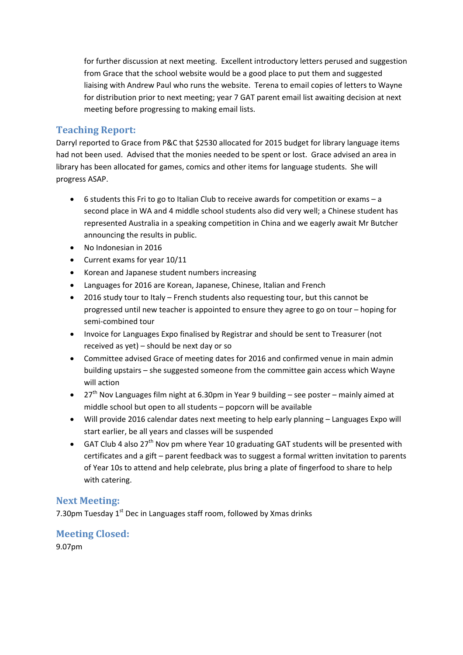for further discussion at next meeting. Excellent introductory letters perused and suggestion from Grace that the school website would be a good place to put them and suggested liaising with Andrew Paul who runs the website. Terena to email copies of letters to Wayne for distribution prior to next meeting; year 7 GAT parent email list awaiting decision at next meeting before progressing to making email lists.

# **Teaching Report:**

Darryl reported to Grace from P&C that \$2530 allocated for 2015 budget for library language items had not been used. Advised that the monies needed to be spent or lost. Grace advised an area in library has been allocated for games, comics and other items for language students. She will progress ASAP.

- 6 students this Fri to go to Italian Club to receive awards for competition or exams a second place in WA and 4 middle school students also did very well; a Chinese student has represented Australia in a speaking competition in China and we eagerly await Mr Butcher announcing the results in public.
- No Indonesian in 2016
- Current exams for year 10/11
- Korean and Japanese student numbers increasing
- Languages for 2016 are Korean, Japanese, Chinese, Italian and French
- 2016 study tour to Italy French students also requesting tour, but this cannot be progressed until new teacher is appointed to ensure they agree to go on tour – hoping for semi‐combined tour
- Invoice for Languages Expo finalised by Registrar and should be sent to Treasurer (not received as yet) – should be next day or so
- Committee advised Grace of meeting dates for 2016 and confirmed venue in main admin building upstairs – she suggested someone from the committee gain access which Wayne will action
- 27<sup>th</sup> Nov Languages film night at 6.30pm in Year 9 building see poster mainly aimed at middle school but open to all students – popcorn will be available
- Will provide 2016 calendar dates next meeting to help early planning Languages Expo will start earlier, be all years and classes will be suspended
- GAT Club 4 also 27<sup>th</sup> Nov pm where Year 10 graduating GAT students will be presented with certificates and a gift – parent feedback was to suggest a formal written invitation to parents of Year 10s to attend and help celebrate, plus bring a plate of fingerfood to share to help with catering.

### **Next Meeting:**

7.30pm Tuesday  $1<sup>st</sup>$  Dec in Languages staff room, followed by Xmas drinks

# **Meeting Closed:**

9.07pm